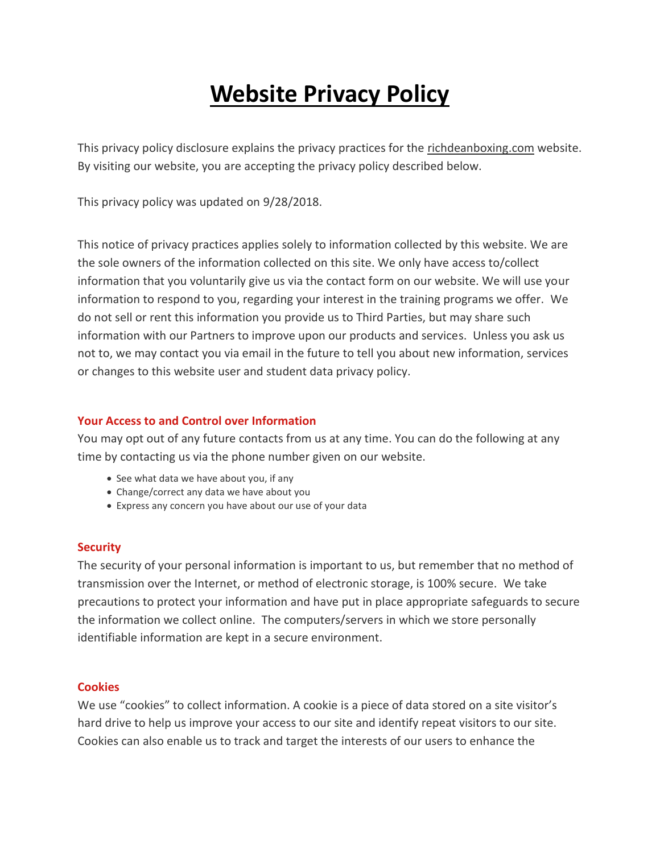# **[Website](https://apexschool.com/privacy_policy/) Privacy Policy**

This privacy policy disclosure explains the privacy practices for the richdeanboxing.com website. By visiting our website, you are accepting the privacy policy described below.

This privacy policy was updated on 9/28/2018.

This notice of privacy practices applies solely to information collected by this website. We are the sole owners of the information collected on this site. We only have access to/collect information that you voluntarily give us via the contact form on our website. We will use your information to respond to you, regarding your interest in the training programs we offer. We do not sell or rent this information you provide us to Third Parties, but may share such information with our Partners to improve upon our products and services. Unless you ask us not to, we may contact you via email in the future to tell you about new information, services or changes to this website user and student data privacy policy.

## **Your Access to and Control over Information**

You may opt out of any future contacts from us at any time. You can do the following at any time by contacting us via the phone number given on our website.

- See what data we have about you, if any
- Change/correct any data we have about you
- Express any concern you have about our use of your data

## **Security**

The security of your personal information is important to us, but remember that no method of transmission over the Internet, or method of electronic storage, is 100% secure. We take precautions to protect your information and have put in place appropriate safeguards to secure the information we collect online. The computers/servers in which we store personally identifiable information are kept in a secure environment.

## **Cookies**

We use "cookies" to collect information. A cookie is a piece of data stored on a site visitor's hard drive to help us improve your access to our site and identify repeat visitors to our site. Cookies can also enable us to track and target the interests of our users to enhance the